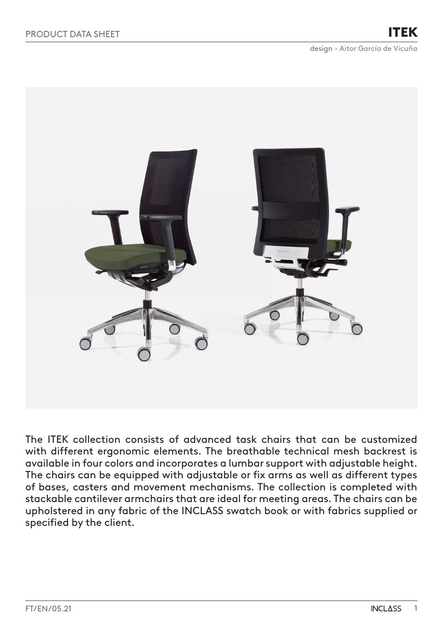ITEK



The ITEK collection consists of advanced task chairs that can be customized with different ergonomic elements. The breathable technical mesh backrest is available in four colors and incorporates a lumbar support with adjustable height. The chairs can be equipped with adjustable or fix arms as well as different types of bases, casters and movement mechanisms. The collection is completed with stackable cantilever armchairs that are ideal for meeting areas. The chairs can be upholstered in any fabric of the INCLASS swatch book or with fabrics supplied or specified by the client.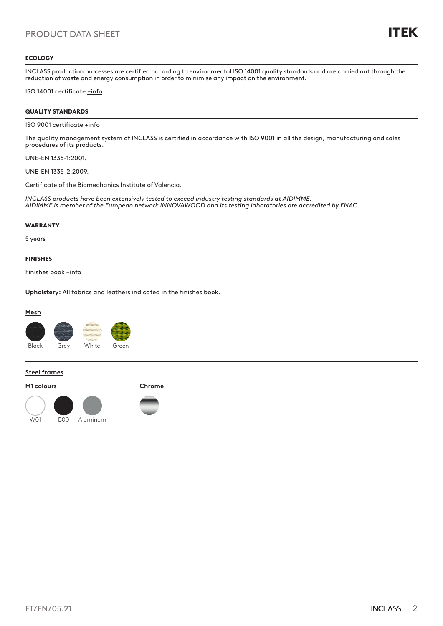## **ECOLOGY**

INCLASS production processes are certified according to environmental ISO 14001 quality standards and are carried out through the reduction of waste and energy consumption in order to minimise any impact on the environment.

ISO 14001 certificate [+info](https://inclass.es/wp-content/files_mf/1589894317INCLASS_ISO14001_2019.pdf)

# QUALITY STANDARDS

## ISO 9001 certificate [+info](https://inclass.es/wp-content/files_mf/1587536904INCLASS_ISO9001_2019.pdf)

The quality management system of INCLASS is certified in accordance with ISO 9001 in all the design, manufacturing and sales procedures of its products.

UNE-EN 1335-1:2001.

UNE-EN 1335-2:2009.

Certificate of the Biomechanics Institute of Valencia.

*INCLASS products have been extensively tested to exceed industry testing standards at AIDIMME. AIDIMME is member of the European network INNOVAWOOD and its testing laboratories are accredited by ENAC.*

### WARRANTY

5 years

## FINISHES

Finishes book [+info](https://inclass.es/wp-content/files_mf/1580317748ITEKSwatchBook.pdf)

**Upholstery:** All fabrics and leathers indicated in the finishes book.

# **Mesh**



#### **Steel frames**

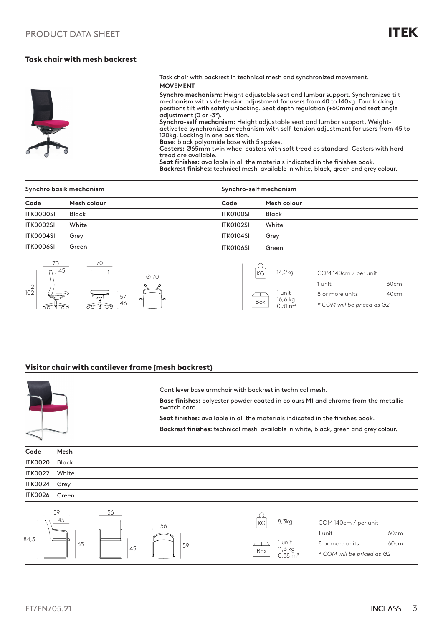# Task chair with mesh backrest



Task chair with backrest in technical mesh and synchronized movement. **MOVEMENT** 

**Synchro mechanism:** Height adjustable seat and lumbar support. Synchronized tilt mechanism with side tension adjustment for users from 40 to 140kg. Four locking positions tilt with safety unlocking. Seat depth regulation (+60mm) and seat angle adjustment (0 or -3º).

**Synchro-self mechanism:** Height adjustable seat and lumbar support. Weightactivated synchronized mechanism with self-tension adjustment for users from 45 to 120kg. Locking in one position. **Base:** black polyamide base with 5 spokes.

**Casters:** Ø65mm twin wheel casters with soft tread as standard. Casters with hard tread are available.

**Seat finishes:** available in all the materials indicated in the finishes book. **Backrest finishes:** technical mesh available in white, black, green and grey colour.

| Synchro basik mechanism |               |                  | Synchro-self mechanism               |  |  |
|-------------------------|---------------|------------------|--------------------------------------|--|--|
| Code                    | Mesh colour   | Code             | Mesh colour                          |  |  |
| <b>ITK0000SI</b>        | <b>Black</b>  | ITK0100SI        | <b>Black</b>                         |  |  |
| <b>ITK0002SI</b>        | White         | <b>ITK0102SI</b> | White                                |  |  |
| ITK0004SI               | Grey          | <b>ITK0104SI</b> | Grey                                 |  |  |
| ITK0006SI               | Green         | <b>ITK0106SI</b> | Green                                |  |  |
| $n_{-}45$               | 70<br>- - - - |                  | 14,2kg<br>KG<br>COM 140cm / per unit |  |  |



# Visitor chair with cantilever frame (mesh backrest)



Cantilever base armchair with backrest in technical mesh.

**Base finishes:** polyester powder coated in colours M1 and chrome from the metallic swatch card.

**Seat finishes:** available in all the materials indicated in the finishes book.

**Backrest finishes:** technical mesh available in white, black, green and grey colour.

| Code          | Mesh |  |
|---------------|------|--|
| ITK0020 Black |      |  |
| ITK0022 White |      |  |
| ITK0024 Grey  |      |  |
| ITK0026 Green |      |  |